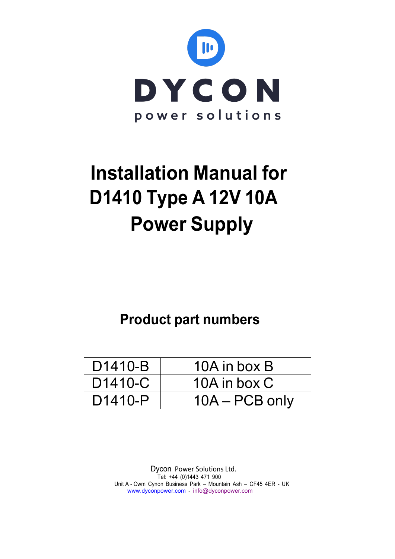

# **Installation Manual for D1410 Type A 12V 10A Power Supply**

## **Product part numbers**

| D <sub>1410</sub> -B | 10A in box B     |
|----------------------|------------------|
| D <sub>1410</sub> -C | 10A in box C     |
| D <sub>1410</sub> -P | $10A - PCB$ only |

Dycon Power Solutions Ltd. Tel: +44 (0)1443 471 900 Unit A - Cwm Cynon Business Park – Mountain Ash – CF45 4ER - UK www.dyconpower.com - info@dyconpower.com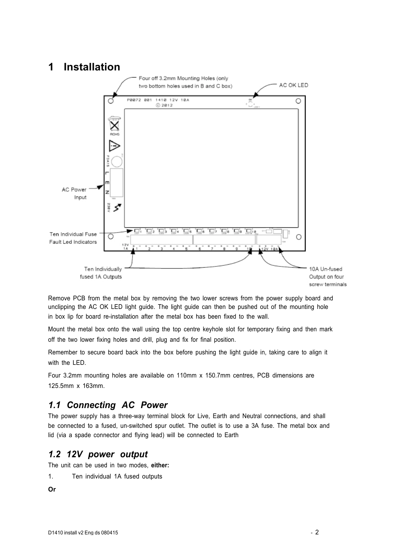### **1 Installation**



Remove PCB from the metal box by removing the two lower screws from the power supply board and unclipping the AC OK LED light guide. The light guide can then be pushed out of the mounting hole in box lip for board re-installation after the metal box has been fixed to the wall.

Mount the metal box onto the wall using the top centre keyhole slot for temporary fixing and then mark off the two lower fixing holes and drill, plug and fix for final position.

Remember to secure board back into the box before pushing the light guide in, taking care to align it with the LED.

Four 3.2mm mounting holes are available on 110mm x 150.7mm centres, PCB dimensions are 125.5mm x 163mm.

#### *1.1 Connecting AC Power*

The power supply has a three-way terminal block for Live, Earth and Neutral connections, and shall be connected to a fused, un-switched spur outlet. The outlet is to use a 3A fuse. The metal box and lid (via a spade connector and flying lead) will be connected to Earth

#### *1.2 12V power output*

The unit can be used in two modes, **either:**

- 1. Ten individual 1A fused outputs
- **Or**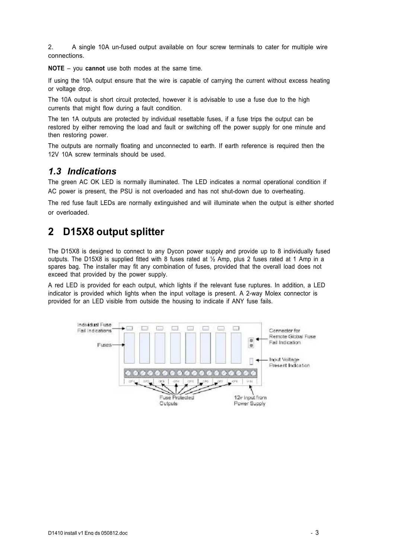2. A single 10A un-fused output available on four screw terminals to cater for multiple wire connections.

**NOTE** – you **cannot** use both modes at the same time.

If using the 10A output ensure that the wire is capable of carrying the current without excess heating or voltage drop.

The 10A output is short circuit protected, however it is advisable to use a fuse due to the high currents that might flow during a fault condition.

The ten 1A outputs are protected by individual resettable fuses, if a fuse trips the output can be restored by either removing the load and fault or switching off the power supply for one minute and then restoring power.

The outputs are normally floating and unconnected to earth. If earth reference is required then the 12V 10A screw terminals should be used.

#### *1.3 Indications*

The green AC OK LED is normally illuminated. The LED indicates a normal operational condition if AC power is present, the PSU is not overloaded and has not shut-down due to overheating.

The red fuse fault LEDs are normally extinguished and will illuminate when the output is either shorted or overloaded.

## **2 D15X8 output splitter**

The D15X8 is designed to connect to any Dycon power supply and provide up to 8 individually fused outputs. The D15X8 is supplied fitted with 8 fuses rated at  $\frac{1}{2}$  Amp, plus 2 fuses rated at 1 Amp in a spares bag. The installer may fit any combination of fuses, provided that the overall load does not exceed that provided by the power supply.

A red LED is provided for each output, which lights if the relevant fuse ruptures. In addition, a LED indicator is provided which lights when the input voltage is present. A 2-way Molex connector is provided for an LED visible from outside the housing to indicate if ANY fuse fails.